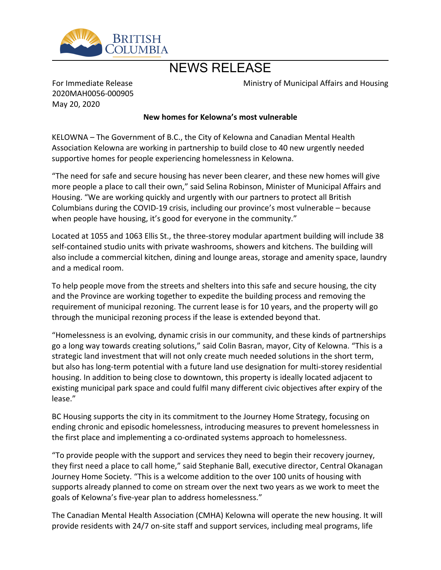

# NEWS RELEASE

Ministry of Municipal Affairs and Housing

For Immediate Release 2020MAH0056-000905 May 20, 2020

## **New homes for Kelowna͛s most vulnerable**

KELOWNA - The Government of B.C., the City of Kelowna and Canadian Mental Health Association Kelowna are working in partnership to build close to 40 new urgently needed supportive homes for people experiencing homelessness in Kelowna.

͞The need for safe and secure housing has never been clearer, and these new homes will give more people a place to call their own," said Selina Robinson, Minister of Municipal Affairs and Housing. "We are working quickly and urgently with our partners to protect all British Columbians during the COVID-19 crisis, including our province's most vulnerable – because when people have housing, it's good for everyone in the community."

Located at 1055 and 1063 Ellis St., the three-storey modular apartment building will include 38 self-contained studio units with private washrooms, showers and kitchens. The building will also include a commercial kitchen, dining and lounge areas, storage and amenity space, laundry and a medical room.

To help people move from the streets and shelters into this safe and secure housing, the city and the Province are working together to expedite the building process and removing the requirement of municipal rezoning. The current lease is for 10 years, and the property will go through the municipal rezoning process if the lease is extended beyond that.

͞Homelessness is an evolving, dynamic crisis in our community, and these kinds of partnerships go a long way towards creating solutions," said Colin Basran, mayor, City of Kelowna. "This is a strategic land investment that will not only create much needed solutions in the short term, but also has long-term potential with a future land use designation for multi-storey residential housing. In addition to being close to downtown, this property is ideally located adjacent to existing municipal park space and could fulfil many different civic objectives after expiry of the lease."

BC Housing supports the city in its commitment to the Journey Home Strategy, focusing on ending chronic and episodic homelessness, introducing measures to prevent homelessness in the first place and implementing a co-ordinated systems approach to homelessness.

͞To provide people with the support and services they need to begin their recovery journey, they first need a place to call home," said Stephanie Ball, executive director, Central Okanagan Journey Home Society. "This is a welcome addition to the over 100 units of housing with supports already planned to come on stream over the next two years as we work to meet the goals of Kelowna's five-year plan to address homelessness."

The Canadian Mental Health Association (CMHA) Kelowna will operate the new housing. It will provide residents with 24/7 on-site staff and support services, including meal programs, life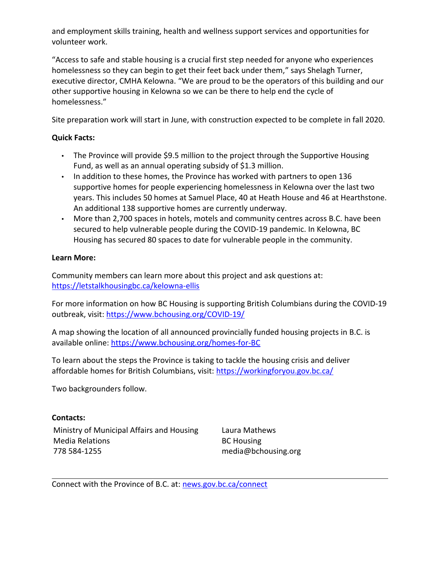and employment skills training, health and wellness support services and opportunities for volunteer work.

͞Access to safe and stable housing is a crucial first step needed for anyone who experiences homelessness so they can begin to get their feet back under them," says Shelagh Turner, executive director, CMHA Kelowna. "We are proud to be the operators of this building and our other supportive housing in Kelowna so we can be there to help end the cycle of homelessness."

Site preparation work will start in June, with construction expected to be complete in fall 2020.

## **Quick Facts:**

- The Province will provide \$9.5 million to the project through the Supportive Housing Fund, as well as an annual operating subsidy of \$1.3 million.
- $\cdot$  In addition to these homes, the Province has worked with partners to open 136 supportive homes for people experiencing homelessness in Kelowna over the last two years. This includes 50 homes at Samuel Place, 40 at Heath House and 46 at Hearthstone. An additional 138 supportive homes are currently underway.
- More than 2,700 spaces in hotels, motels and community centres across B.C. have been secured to help vulnerable people during the COVID-19 pandemic. In Kelowna, BC Housing has secured 80 spaces to date for vulnerable people in the community.

## **Learn More:**

Community members can learn more about this project and ask questions at: <https://letstalkhousingbc.ca/kelowna-ellis>

For more information on how BC Housing is supporting British Columbians during the COVID-19 outbreak, visit: <https://www.bchousing.org/COVID-19/>

A map showing the location of all announced provincially funded housing projects in B.C. is available online:<https://www.bchousing.org/homes-for-BC>

To learn about the steps the Province is taking to tackle the housing crisis and deliver affordable homes for British Columbians, visit:<https://workingforyou.gov.bc.ca/>

Two backgrounders follow.

## **Contacts:**

Ministry of Municipal Affairs and Housing Media Relations 778 584-1255

Laura Mathews BC Housing media@bchousing.org

Connect with the Province of B.C. at: [news.gov.bc.ca/connect](http://news.gov.bc.ca/connect)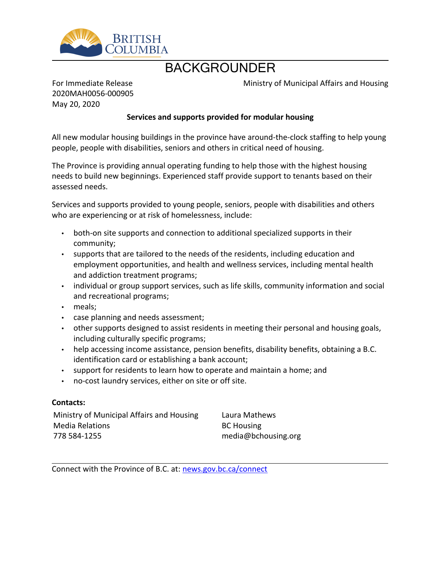

## BACKGROUNDER

Ministry of Municipal Affairs and Housing

For Immediate Release 2020MAH0056-000905 May 20, 2020

## **Services and supports provided for modular housing**

All new modular housing buildings in the province have around-the-clock staffing to help young people, people with disabilities, seniors and others in critical need of housing.

The Province is providing annual operating funding to help those with the highest housing needs to build new beginnings. Experienced staff provide support to tenants based on their assessed needs.

Services and supports provided to young people, seniors, people with disabilities and others who are experiencing or at risk of homelessness, include:

- both-on site supports and connection to additional specialized supports in their community;
- supports that are tailored to the needs of the residents, including education and employment opportunities, and health and wellness services, including mental health and addiction treatment programs;
- individual or group support services, such as life skills, community information and social and recreational programs;
- meals;
- case planning and needs assessment;
- other supports designed to assist residents in meeting their personal and housing goals, including culturally specific programs;
- help accessing income assistance, pension benefits, disability benefits, obtaining a B.C. identification card or establishing a bank account;
- support for residents to learn how to operate and maintain a home; and
- no-cost laundry services, either on site or off site.

## **Contacts:**

Ministry of Municipal Affairs and Housing Media Relations 778 584-1255

Laura Mathews BC Housing media@bchousing.org

Connect with the Province of B.C. at: [news.gov.bc.ca/connect](http://news.gov.bc.ca/connect)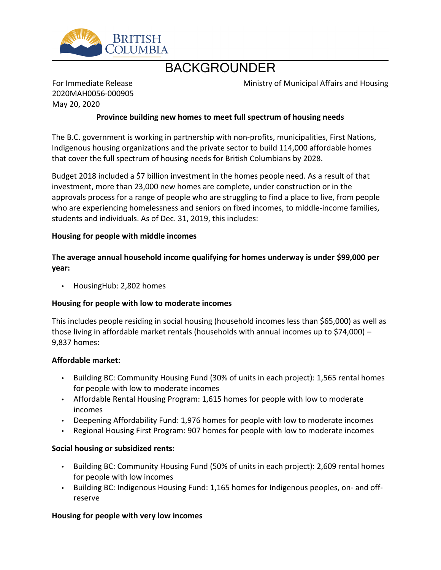

## BACKGROUNDER

Ministry of Municipal Affairs and Housing

For Immediate Release 2020MAH0056-000905 May 20, 2020

## **Province building new homes to meet full spectrum of housing needs**

The B.C. government is working in partnership with non-profits, municipalities, First Nations, Indigenous housing organizations and the private sector to build 114,000 affordable homes that cover the full spectrum of housing needs for British Columbians by 2028.

Budget 2018 included a \$7 billion investment in the homes people need. As a result of that investment, more than 23,000 new homes are complete, under construction or in the approvals process for a range of people who are struggling to find a place to live, from people who are experiencing homelessness and seniors on fixed incomes, to middle-income families, students and individuals. As of Dec. 31, 2019, this includes:

#### **Housing for people with middle incomes**

**The average annual household income qualifying for homes underway is under \$99,000 per year:**

• HousingHub: 2,802 homes

## **Housing for people with low to moderate incomes**

This includes people residing in social housing (household incomes less than \$65,000) as well as those living in affordable market rentals (households with annual incomes up to \$74,000)  $-$ 9,837 homes:

#### **Affordable market:**

- Building BC: Community Housing Fund (30% of units in each project): 1,565 rental homes for people with low to moderate incomes
- Affordable Rental Housing Program: 1,615 homes for people with low to moderate incomes
- Deepening Affordability Fund: 1,976 homes for people with low to moderate incomes
- Regional Housing First Program: 907 homes for people with low to moderate incomes

#### **Social housing or subsidized rents:**

- Building BC: Community Housing Fund (50% of units in each project): 2,609 rental homes for people with low incomes
- Building BC: Indigenous Housing Fund: 1,165 homes for Indigenous peoples, on- and offreserve

#### **Housing for people with very low incomes**